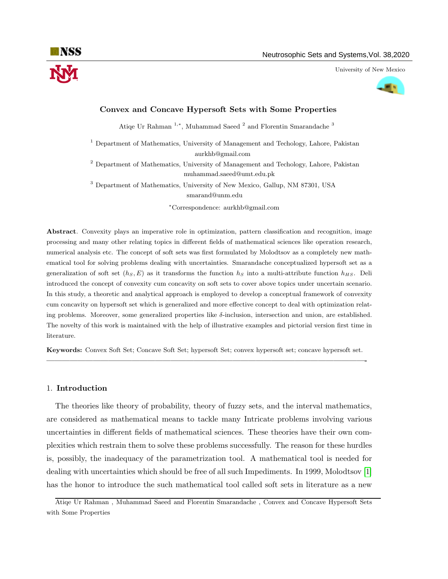University of New Mexico



# Convex and Concave Hypersoft Sets with Some Properties

Atiqe Ur Rahman<sup>1,\*</sup>, Muhammad Saeed<sup>2</sup> and Florentin Smarandache<sup>3</sup>

 $^{\rm 1}$  Department of Mathematics, University of Management and Techology, Lahore, Pakistan aurkhb@gmail.com

<sup>2</sup> Department of Mathematics, University of Management and Techology, Lahore, Pakistan muhammad.saeed@umt.edu.pk

<sup>3</sup> Department of Mathematics, University of New Mexico, Gallup, NM 87301, USA smarand@unm.edu

<sup>∗</sup>Correspondence: aurkhb@gmail.com

Abstract. Convexity plays an imperative role in optimization, pattern classification and recognition, image processing and many other relating topics in different fields of mathematical sciences like operation research, numerical analysis etc. The concept of soft sets was first formulated by Molodtsov as a completely new mathematical tool for solving problems dealing with uncertainties. Smarandache conceptualized hypersoft set as a generalization of soft set  $(h<sub>S</sub>, E)$  as it transforms the function h<sub>S</sub> into a multi-attribute function  $h<sub>HS</sub>$ . Deli introduced the concept of convexity cum concavity on soft sets to cover above topics under uncertain scenario. In this study, a theoretic and analytical approach is employed to develop a conceptual framework of convexity cum concavity on hypersoft set which is generalized and more effective concept to deal with optimization relating problems. Moreover, some generalized properties like δ-inclusion, intersection and union, are established. The novelty of this work is maintained with the help of illustrative examples and pictorial version first time in literature.

Keywords: Convex Soft Set; Concave Soft Set; hypersoft Set; convex hypersoft set; concave hypersoft set. —————————————————————————————————————————-

### 1. Introduction

The theories like theory of probability, theory of fuzzy sets, and the interval mathematics, are considered as mathematical means to tackle many Intricate problems involving various uncertainties in different fields of mathematical sciences. These theories have their own complexities which restrain them to solve these problems successfully. The reason for these hurdles is, possibly, the inadequacy of the parametrization tool. A mathematical tool is needed for dealing with uncertainties which should be free of all such Impediments. In 1999, Molodtsov [\[1\]](#page-10-0) has the honor to introduce the such mathematical tool called soft sets in literature as a new

Atiqe Ur Rahman , Muhammad Saeed and Florentin Smarandache , Convex and Concave Hypersoft Sets with Some Properties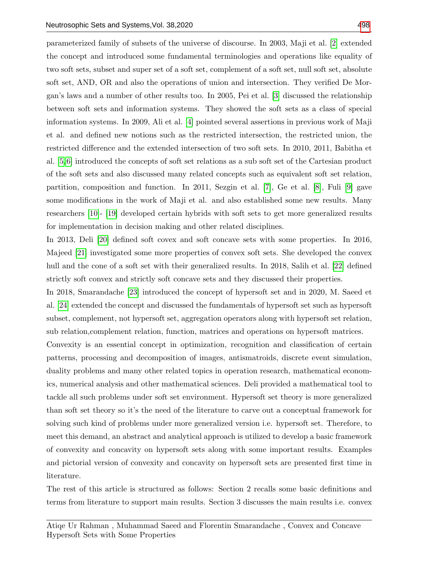parameterized family of subsets of the universe of discourse. In 2003, Maji et al. [\[2\]](#page-10-1) extended the concept and introduced some fundamental terminologies and operations like equality of two soft sets, subset and super set of a soft set, complement of a soft set, null soft set, absolute soft set, AND, OR and also the operations of union and intersection. They verified De Morgan's laws and a number of other results too. In 2005, Pei et al. [\[3\]](#page-10-2) discussed the relationship between soft sets and information systems. They showed the soft sets as a class of special information systems. In 2009, Ali et al. [\[4\]](#page-10-3) pointed several assertions in previous work of Maji et al. and defined new notions such as the restricted intersection, the restricted union, the restricted difference and the extended intersection of two soft sets. In 2010, 2011, Babitha et al. [\[5,](#page-10-4) [6\]](#page-11-1) introduced the concepts of soft set relations as a sub soft set of the Cartesian product of the soft sets and also discussed many related concepts such as equivalent soft set relation, partition, composition and function. In 2011, Sezgin et al. [\[7\]](#page-11-2), Ge et al. [\[8\]](#page-11-3), Fuli [\[9\]](#page-11-4) gave some modifications in the work of Maji et al. and also established some new results. Many researchers [\[10\]](#page-11-5)- [\[19\]](#page-11-6) developed certain hybrids with soft sets to get more generalized results for implementation in decision making and other related disciplines.

In 2013, Deli [\[20\]](#page-11-7) defined soft covex and soft concave sets with some properties. In 2016, Majeed [\[21\]](#page-11-8) investigated some more properties of convex soft sets. She developed the convex hull and the cone of a soft set with their generalized results. In 2018, Salih et al. [\[22\]](#page-11-9) defined strictly soft convex and strictly soft concave sets and they discussed their properties.

In 2018, Smarandache [\[23\]](#page-11-10) introduced the concept of hypersoft set and in 2020, M. Saeed et al. [\[24\]](#page-11-11) extended the concept and discussed the fundamentals of hypersoft set such as hypersoft subset, complement, not hypersoft set, aggregation operators along with hypersoft set relation, sub relation,complement relation, function, matrices and operations on hypersoft matrices.

Convexity is an essential concept in optimization, recognition and classification of certain patterns, processing and decomposition of images, antismatroids, discrete event simulation, duality problems and many other related topics in operation research, mathematical economics, numerical analysis and other mathematical sciences. Deli provided a mathematical tool to tackle all such problems under soft set environment. Hypersoft set theory is more generalized than soft set theory so it's the need of the literature to carve out a conceptual framework for solving such kind of problems under more generalized version i.e. hypersoft set. Therefore, to meet this demand, an abstract and analytical approach is utilized to develop a basic framework of convexity and concavity on hypersoft sets along with some important results. Examples and pictorial version of convexity and concavity on hypersoft sets are presented first time in literature.

The rest of this article is structured as follows: Section 2 recalls some basic definitions and terms from literature to support main results. Section 3 discusses the main results i.e. convex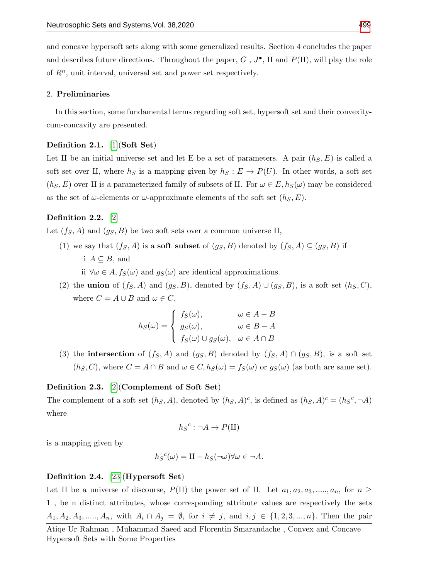and concave hypersoft sets along with some generalized results. Section 4 concludes the paper and describes future directions. Throughout the paper,  $G, J^{\bullet}$ , II and  $P(\Pi)$ , will play the role of  $R<sup>n</sup>$ , unit interval, universal set and power set respectively.

#### 2. Preliminaries

In this section, some fundamental terms regarding soft set, hypersoft set and their convexitycum-concavity are presented.

## Definition 2.1. [\[1\]](#page-10-0)(Soft Set)

Let II be an initial universe set and let E be a set of parameters. A pair  $(h<sub>S</sub>, E)$  is called a soft set over II, where  $h<sub>S</sub>$  is a mapping given by  $h<sub>S</sub> : E \to P(U)$ . In other words, a soft set  $(h<sub>S</sub>, E)$  over II is a parameterized family of subsets of II. For  $\omega \in E$ ,  $h<sub>S</sub>(\omega)$  may be considered as the set of  $\omega$ -elements or  $\omega$ -approximate elements of the soft set  $(h_S, E)$ .

## Definition 2.2. [\[2\]](#page-10-1)

Let  $(f_S, A)$  and  $(g_S, B)$  be two soft sets over a common universe II,

- (1) we say that  $(f_S, A)$  is a **soft subset** of  $(g_S, B)$  denoted by  $(f_S, A) \subseteq (g_S, B)$  if i  $A \subseteq B$ , and
	- ii  $\forall \omega \in A, f_S(\omega)$  and  $g_S(\omega)$  are identical approximations.
- (2) the **union** of  $(f_S, A)$  and  $(g_S, B)$ , denoted by  $(f_S, A) \cup (g_S, B)$ , is a soft set  $(h_S, C)$ , where  $C = A \cup B$  and  $\omega \in C$ ,

$$
h_S(\omega) = \begin{cases} f_S(\omega), & \omega \in A - B \\ g_S(\omega), & \omega \in B - A \\ f_S(\omega) \cup g_S(\omega), & \omega \in A \cap B \end{cases}
$$

(3) the intersection of  $(f_S, A)$  and  $(g_S, B)$  denoted by  $(f_S, A) \cap (g_S, B)$ , is a soft set  $(h_S, C)$ , where  $C = A \cap B$  and  $\omega \in C$ ,  $h_S(\omega) = f_S(\omega)$  or  $g_S(\omega)$  (as both are same set).

### Definition 2.3. [\[2\]](#page-10-1)(Complement of Soft Set)

The complement of a soft set  $(h_S, A)$ , denoted by  $(h_S, A)^c$ , is defined as  $(h_S, A)^c = (h_S^c, \neg A)$ where

$$
h_S{}^c : \neg A \to P(\amalg)
$$

is a mapping given by

$$
h_S^c(\omega) = \Pi - h_S(\neg \omega) \forall \omega \in \neg A.
$$

## Definition 2.4. [\[23\]](#page-11-10)(Hypersoft Set)

Let II be a universe of discourse, P(II) the power set of II. Let  $a_1, a_2, a_3, \ldots, a_n$ , for  $n \geq$ 1 , be n distinct attributes, whose corresponding attribute values are respectively the sets  $A_1, A_2, A_3, \ldots, A_n$ , with  $A_i \cap A_j = \emptyset$ , for  $i \neq j$ , and  $i, j \in \{1, 2, 3, \ldots, n\}$ . Then the pair

Atiqe Ur Rahman , Muhammad Saeed and Florentin Smarandache , Convex and Concave Hypersoft Sets with Some Properties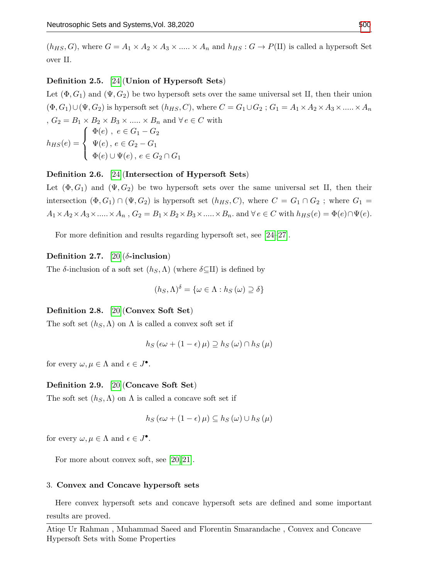$(h_{HS}, G)$ , where  $G = A_1 \times A_2 \times A_3 \times \ldots \times A_n$  and  $h_{HS} : G \to P(\Pi)$  is called a hypersoft Set over  $II$ .

## Definition 2.5. [\[24\]](#page-11-11)(Union of Hypersoft Sets)

Let  $(\Phi, G_1)$  and  $(\Psi, G_2)$  be two hypersoft sets over the same universal set II, then their union  $(\Phi, G_1) \cup (\Psi, G_2)$  is hypersoft set  $(h_{HS}, C)$ , where  $C = G_1 \cup G_2$ ;  $G_1 = A_1 \times A_2 \times A_3 \times \dots \times A_n$ ,  $G_2 = B_1 \times B_2 \times B_3 \times \ldots \times B_n$  and  $\forall e \in C$  with  $h_{HS}(e) =$  $\sqrt{ }$  $\int$  $\overline{\mathcal{L}}$  $\Phi(e)$ ,  $e \in G_1 - G_2$  $\Psi(e),\, e\in G_2-G_1$  $\Phi(e) \cup \Psi(e)$ ,  $e \in G_2 \cap G_1$ 

## Definition 2.6. [\[24\]](#page-11-11)(Intersection of Hypersoft Sets)

Let  $(\Phi, G_1)$  and  $(\Psi, G_2)$  be two hypersoft sets over the same universal set II, then their intersection  $(\Phi, G_1) \cap (\Psi, G_2)$  is hypersoft set  $(h_{HS}, C)$ , where  $C = G_1 \cap G_2$ ; where  $G_1 =$  $A_1 \times A_2 \times A_3 \times \ldots \times A_n$ ,  $G_2 = B_1 \times B_2 \times B_3 \times \ldots \times B_n$ . and  $\forall e \in C$  with  $h_{HS}(e) = \Phi(e) \cap \Psi(e)$ .

For more definition and results regarding hypersoft set, see [\[24–](#page-11-11)[27\]](#page-11-12).

## Definition 2.7.  $[20](\delta\text{-inclusion})$  $[20](\delta\text{-inclusion})$

The δ-inclusion of a soft set  $(h_S, \Lambda)$  (where  $\delta \subseteq \Pi$ ) is defined by

$$
(h_S, \Lambda)^{\delta} = \{ \omega \in \Lambda : h_S(\omega) \supseteq \delta \}
$$

### Definition 2.8. [\[20\]](#page-11-7)(Convex Soft Set)

The soft set  $(h_S, \Lambda)$  on  $\Lambda$  is called a convex soft set if

$$
h_S(\epsilon\omega + (1-\epsilon)\,\mu) \supseteq h_S(\omega) \cap h_S(\mu)
$$

for every  $\omega, \mu \in \Lambda$  and  $\epsilon \in J^{\bullet}$ .

## Definition 2.9. [\[20\]](#page-11-7)(Concave Soft Set)

The soft set  $(h_S, \Lambda)$  on  $\Lambda$  is called a concave soft set if

$$
h_S(\epsilon\omega + (1 - \epsilon)\,\mu) \subseteq h_S(\omega) \cup h_S(\mu)
$$

for every  $\omega, \mu \in \Lambda$  and  $\epsilon \in J^{\bullet}$ .

For more about convex soft, see [\[20,](#page-11-7) [21\]](#page-11-8).

#### 3. Convex and Concave hypersoft sets

Here convex hypersoft sets and concave hypersoft sets are defined and some important results are proved.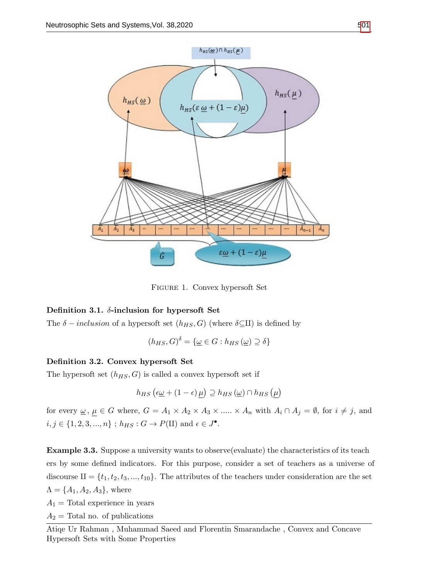

Figure 1. Convex hypersoft Set

# Definition 3.1.  $\delta$ -inclusion for hypersoft Set

The  $\delta$  – inclusion of a hypersoft set  $(h_{HS}, G)$  (where  $\delta \subseteq \Pi$ ) is defined by

$$
(h_{HS}, G)^{\delta} = \{ \underline{\omega} \in G : h_{HS}(\underline{\omega}) \supseteq \delta \}
$$

# Definition 3.2. Convex hypersoft Set

The hypersoft set  $(h_{HS}, G)$  is called a convex hypersoft set if

$$
h_{HS}(\epsilon \underline{\omega} + (1 - \epsilon) \mu) \supseteq h_{HS}(\underline{\omega}) \cap h_{HS}(\mu)
$$

for every  $\underline{\omega}$ ,  $\mu \in G$  where,  $G = A_1 \times A_2 \times A_3 \times \dots \times A_n$  with  $A_i \cap A_j = \emptyset$ , for  $i \neq j$ , and  $i, j \in \{1, 2, 3, ..., n\}$ ;  $h_{HS}: G \to P(\Pi)$  and  $\epsilon \in J^{\bullet}$ .

<span id="page-4-0"></span>Example 3.3. Suppose a university wants to observe(evaluate) the characteristics of its teach ers by some defined indicators. For this purpose, consider a set of teachers as a universe of discourse  $II = {t_1, t_2, t_3, ..., t_{10}}$ . The attributes of the teachers under consideration are the set  $\Lambda = \{A_1, A_2, A_3\}$ , where

 $A_1$  = Total experience in years

 $A_2$  = Total no. of publications

Atiqe Ur Rahman , Muhammad Saeed and Florentin Smarandache , Convex and Concave Hypersoft Sets with Some Properties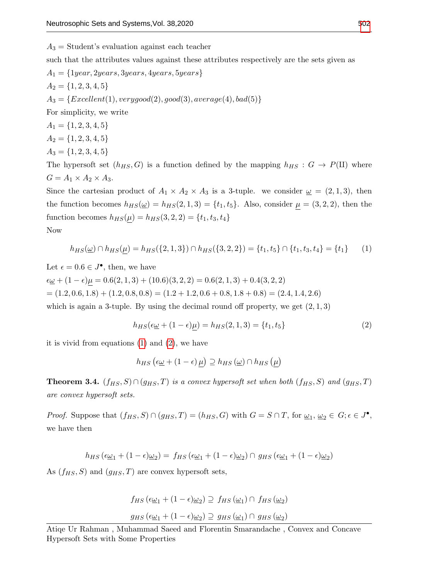$A_3$  = Student's evaluation against each teacher

such that the attributes values against these attributes respectively are the sets given as

 $A_1 = \{1year, 2years, 3years, 4years, 5years\}$  $A_2 = \{1, 2, 3, 4, 5\}$  $A_3 = \{Excellent(1), very good(2), good(3), average(4), bad(5)\}$ For simplicity, we write  $A_1 = \{1, 2, 3, 4, 5\}$  $A_2 = \{1, 2, 3, 4, 5\}$  $A_3 = \{1, 2, 3, 4, 5\}$ The hypersoft set  $(h_{HS}, G)$  is a function defined by the mapping  $h_{HS}: G \to P(\Pi)$  where  $G = A_1 \times A_2 \times A_3.$ 

Since the cartesian product of  $A_1 \times A_2 \times A_3$  is a 3-tuple. we consider  $\omega = (2, 1, 3)$ , then the function becomes  $h_{HS}(\underline{\omega}) = h_{HS}(2,1,3) = \{t_1, t_5\}$ . Also, consider  $\mu = (3, 2, 2)$ , then the function becomes  $h_{HS}(\mu) = h_{HS}(3, 2, 2) = \{t_1, t_3, t_4\}$ Now

<span id="page-5-0"></span>
$$
h_{HS}(\underline{\omega}) \cap h_{HS}(\underline{\mu}) = h_{HS}(\{2, 1, 3\}) \cap h_{HS}(\{3, 2, 2\}) = \{t_1, t_5\} \cap \{t_1, t_3, t_4\} = \{t_1\}
$$
 (1)

Let  $\epsilon = 0.6 \in J^{\bullet}$ , then, we have

 $\epsilon \underline{\omega} + (1 - \epsilon)\mu = 0.6(2, 1, 3) + (10.6)(3, 2, 2) = 0.6(2, 1, 3) + 0.4(3, 2, 2)$  $=(1.2, 0.6, 1.8) + (1.2, 0.8, 0.8) = (1.2 + 1.2, 0.6 + 0.8, 1.8 + 0.8) = (2.4, 1.4, 2.6)$ which is again a 3-tuple. By using the decimal round off property, we get  $(2, 1, 3)$ 

<span id="page-5-1"></span>
$$
h_{HS}(\epsilon \underline{\omega} + (1 - \epsilon)\underline{\mu}) = h_{HS}(2, 1, 3) = \{t_1, t_5\}
$$
\n(2)

it is vivid from equations [\(1\)](#page-5-0) and [\(2\)](#page-5-1), we have

$$
h_{HS}(\epsilon \underline{\omega} + (1 - \epsilon) \underline{\mu}) \supseteq h_{HS}(\underline{\omega}) \cap h_{HS}(\underline{\mu})
$$

**Theorem 3.4.**  $(f_{HS}, S) \cap (g_{HS}, T)$  is a convex hypersoft set when both  $(f_{HS}, S)$  and  $(g_{HS}, T)$ are convex hypersoft sets.

*Proof.* Suppose that  $(f_{HS}, S) \cap (g_{HS}, T) = (h_{HS}, G)$  with  $G = S \cap T$ , for  $\underline{\omega}_1, \underline{\omega}_2 \in G; \epsilon \in J^{\bullet}$ , we have then

$$
h_{HS}(\epsilon \underline{\omega}_1 + (1 - \epsilon) \underline{\omega}_2) = f_{HS}(\epsilon \underline{\omega}_1 + (1 - \epsilon) \underline{\omega}_2) \cap g_{HS}(\epsilon \underline{\omega}_1 + (1 - \epsilon) \underline{\omega}_2)
$$

As  $(f_{HS}, S)$  and  $(g_{HS}, T)$  are convex hypersoft sets,

$$
f_{HS}(\epsilon \underline{\omega}_1 + (1 - \epsilon) \underline{\omega}_2) \supseteq f_{HS}(\underline{\omega}_1) \cap f_{HS}(\underline{\omega}_2)
$$
  

$$
g_{HS}(\epsilon \underline{\omega}_1 + (1 - \epsilon) \underline{\omega}_2) \supseteq g_{HS}(\underline{\omega}_1) \cap g_{HS}(\underline{\omega}_2)
$$

Atiqe Ur Rahman , Muhammad Saeed and Florentin Smarandache , Convex and Concave Hypersoft Sets with Some Properties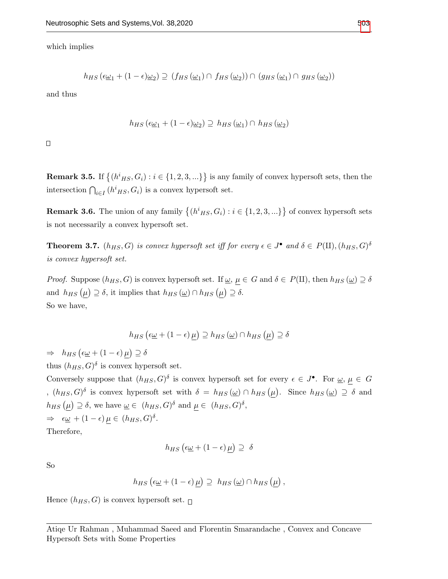which implies

$$
h_{HS}(\epsilon \underline{\omega}_1 + (1 - \epsilon) \underline{\omega}_2) \supseteq (f_{HS}(\underline{\omega}_1) \cap f_{HS}(\underline{\omega}_2)) \cap (g_{HS}(\underline{\omega}_1) \cap g_{HS}(\underline{\omega}_2))
$$

and thus

$$
h_{HS}(\epsilon \underline{\omega}_1 + (1 - \epsilon) \underline{\omega}_2) \supseteq h_{HS}(\underline{\omega}_1) \cap h_{HS}(\underline{\omega}_2)
$$

 $\Box$ 

**Remark 3.5.** If  $\{(h^i_{HS}, G_i) : i \in \{1, 2, 3, ...\} \}$  is any family of convex hypersoft sets, then the intersection  $\bigcap_{i\in I} (h^i_{HS}, G_i)$  is a convex hypersoft set.

**Remark 3.6.** The union of any family  $\{(h<sup>i</sup>_{HS}, G_i) : i \in \{1, 2, 3, ...\} \}$  of convex hypersoft sets is not necessarily a convex hypersoft set.

**Theorem 3.7.**  $(h_{HS}, G)$  is convex hypersoft set iff for every  $\epsilon \in J^{\bullet}$  and  $\delta \in P(\Pi), (h_{HS}, G)^{\delta}$ is convex hypersoft set.

*Proof.* Suppose  $(h_{HS}, G)$  is convex hypersoft set. If  $\underline{\omega}, \mu \in G$  and  $\delta \in P(\Pi)$ , then  $h_{HS}(\underline{\omega}) \supseteq \delta$ and  $h_{HS}(\mu) \supseteq \delta$ , it implies that  $h_{HS}(\underline{\omega}) \cap h_{HS}(\mu) \supseteq \delta$ . So we have,

$$
h_{HS}(\epsilon \underline{\omega} + (1 - \epsilon)\mu) \supseteq h_{HS}(\underline{\omega}) \cap h_{HS}(\mu) \supseteq \delta
$$

 $\Rightarrow h_{HS} (\epsilon \underline{\omega} + (1 - \epsilon) \mu) \supseteq \delta$ 

thus  $(h_{HS}, G)$ <sup> $\delta$ </sup> is convex hypersoft set.

Conversely suppose that  $(h_{HS}, G)$ <sup> $\delta$ </sup> is convex hypersoft set for every  $\epsilon \in J^{\bullet}$ . For  $\underline{\omega}, \mu \in G$ ,  $(h_{HS}, G)$ <sup>δ</sup> is convex hypersoft set with  $\delta = h_{HS}(\underline{\omega}) \cap h_{HS}(\mu)$ . Since  $h_{HS}(\underline{\omega}) \supseteq \delta$  and  $h_{HS}(\mu) \supseteq \delta$ , we have  $\underline{\omega} \in (h_{HS}, G)^{\delta}$  and  $\mu \in (h_{HS}, G)^{\delta}$ ,  $\Rightarrow \epsilon_{\underline{\omega}} + (1 - \epsilon) \mu \in (h_{HS}, G)^{\delta}.$ 

Therefore,

$$
h_{HS}\left(\epsilon\underline{\omega} + (1-\epsilon)\,\underline{\mu}\right) \supseteq \delta
$$

So

$$
h_{HS} \left( \epsilon \underline{\omega} + (1 - \epsilon) \underline{\mu} \right) \supseteq h_{HS} \left( \underline{\omega} \right) \cap h_{HS} \left( \underline{\mu} \right),
$$

Hence  $(h_{HS}, G)$  is convex hypersoft set.  $\Box$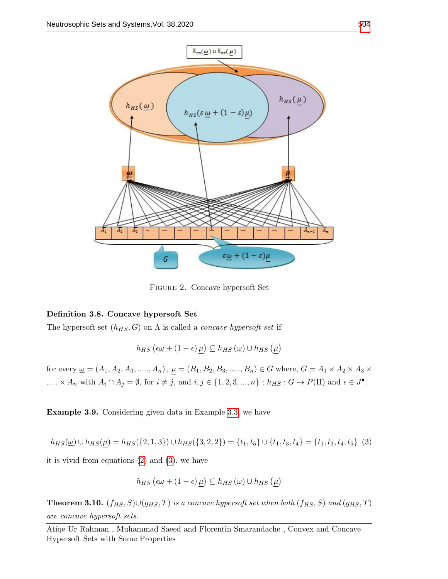

Figure 2. Concave hypersoft Set

# Definition 3.8. Concave hypersoft Set

The hypersoft set  $(h_{HS}, G)$  on  $\Lambda$  is called a *concave hypersoft set* if

$$
h_{HS}(\epsilon \underline{\omega} + (1 - \epsilon) \underline{\mu}) \subseteq h_{HS}(\underline{\omega}) \cup h_{HS}(\underline{\mu})
$$

for every  $\underline{\omega} = (A_1, A_2, A_3, \dots, A_n)$ ,  $\underline{\mu} = (B_1, B_2, B_3, \dots, B_n) \in G$  where,  $G = A_1 \times A_2 \times A_3 \times$  $\dots \times A_n$  with  $A_i \cap A_j = \emptyset$ , for  $i \neq j$ , and  $i, j \in \{1, 2, 3, ..., n\}$ ;  $h_{HS} : G \to P(\Pi)$  and  $\epsilon \in J^{\bullet}$ .

Example 3.9. Considering given data in Example [3.3,](#page-4-0) we have

<span id="page-7-0"></span>
$$
h_{HS}(\underline{\omega}) \cup h_{HS}(\mu) = h_{HS}(\{2, 1, 3\}) \cup h_{HS}(\{3, 2, 2\}) = \{t_1, t_5\} \cup \{t_1, t_3, t_4\} = \{t_1, t_3, t_4, t_5\} \tag{3}
$$

it is vivid from equations [\(2\)](#page-5-1) and [\(3\)](#page-7-0), we have

$$
h_{HS}(\epsilon \underline{\omega} + (1 - \epsilon) \underline{\mu}) \subseteq h_{HS}(\underline{\omega}) \cup h_{HS}(\underline{\mu})
$$

**Theorem 3.10.**  $(f_{HS}, S) \cup (g_{HS}, T)$  is a concave hypersoft set when both  $(f_{HS}, S)$  and  $(g_{HS}, T)$ are concave hypersoft sets.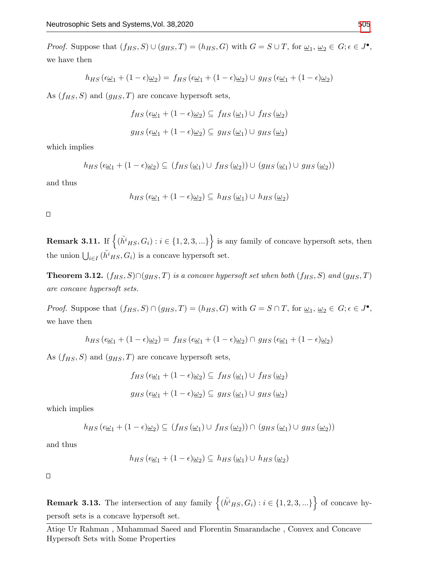*Proof.* Suppose that  $(f_{HS}, S) \cup (g_{HS}, T) = (h_{HS}, G)$  with  $G = S \cup T$ , for  $\underline{\omega}_1, \underline{\omega}_2 \in G; \epsilon \in J^{\bullet}$ , we have then

$$
h_{HS}(\epsilon \underline{\omega}_1 + (1 - \epsilon) \underline{\omega}_2) = f_{HS}(\epsilon \underline{\omega}_1 + (1 - \epsilon) \underline{\omega}_2) \cup g_{HS}(\epsilon \underline{\omega}_1 + (1 - \epsilon) \underline{\omega}_2)
$$

As  $(f_{HS}, S)$  and  $(g_{HS}, T)$  are concave hypersoft sets,

$$
f_{HS} (\epsilon \underline{\omega}_1 + (1 - \epsilon) \underline{\omega}_2) \subseteq f_{HS} (\underline{\omega}_1) \cup f_{HS} (\underline{\omega}_2)
$$
  

$$
g_{HS} (\epsilon \underline{\omega}_1 + (1 - \epsilon) \underline{\omega}_2) \subseteq g_{HS} (\underline{\omega}_1) \cup g_{HS} (\underline{\omega}_2)
$$

which implies

$$
h_{HS}(\epsilon \underline{\omega}_1 + (1 - \epsilon) \underline{\omega}_2) \subseteq (f_{HS}(\underline{\omega}_1) \cup f_{HS}(\underline{\omega}_2)) \cup (g_{HS}(\underline{\omega}_1) \cup g_{HS}(\underline{\omega}_2))
$$

and thus

$$
h_{HS}(\epsilon \underline{\omega}_1 + (1 - \epsilon) \underline{\omega}_2) \subseteq h_{HS}(\underline{\omega}_1) \cup h_{HS}(\underline{\omega}_2)
$$

 $\Box$ 

**Remark 3.11.** If  $\{( {\check{n}}^i_{HS}, G_i) : i \in \{1, 2, 3, ...\} \}$  is any family of concave hypersoft sets, then the union  $\bigcup_{i \in I} (\check{h}^i_{HS}, G_i)$  is a concave hypersoft set.

Theorem 3.12.  $(f_{HS}, S) \cap (g_{HS}, T)$  is a concave hypersoft set when both  $(f_{HS}, S)$  and  $(g_{HS}, T)$ are concave hypersoft sets.

*Proof.* Suppose that  $(f_{HS}, S) \cap (g_{HS}, T) = (h_{HS}, G)$  with  $G = S \cap T$ , for  $\underline{\omega}_1, \underline{\omega}_2 \in G$ ;  $\epsilon \in J^{\bullet}$ , we have then

$$
h_{HS}(\epsilon \underline{\omega}_1 + (1 - \epsilon)\underline{\omega}_2) = f_{HS}(\epsilon \underline{\omega}_1 + (1 - \epsilon)\underline{\omega}_2) \cap g_{HS}(\epsilon \underline{\omega}_1 + (1 - \epsilon)\underline{\omega}_2)
$$

As  $(f_{HS}, S)$  and  $(g_{HS}, T)$  are concave hypersoft sets,

$$
f_{HS} \left(\epsilon \underline{\omega}_1 + (1 - \epsilon) \underline{\omega}_2\right) \subseteq f_{HS} \left(\underline{\omega}_1\right) \cup f_{HS} \left(\underline{\omega}_2\right)
$$

$$
g_{HS}(\epsilon \underline{\omega}_1 + (1 - \epsilon) \underline{\omega}_2) \subseteq g_{HS}(\underline{\omega}_1) \cup g_{HS}(\underline{\omega}_2)
$$

which implies

$$
h_{HS}(\epsilon \underline{\omega}_1 + (1 - \epsilon) \underline{\omega}_2) \subseteq (f_{HS}(\underline{\omega}_1) \cup f_{HS}(\underline{\omega}_2)) \cap (g_{HS}(\underline{\omega}_1) \cup g_{HS}(\underline{\omega}_2))
$$

and thus

$$
h_{HS}(\epsilon \underline{\omega}_1 + (1 - \epsilon) \underline{\omega}_2) \subseteq h_{HS}(\underline{\omega}_1) \cup h_{HS}(\underline{\omega}_2)
$$

 $\Box$ 

**Remark 3.13.** The intersection of any family  $\{(h^i_{HS}, G_i) : i \in \{1, 2, 3, ...\} \}$  of concave hypersoft sets is a concave hypersoft set.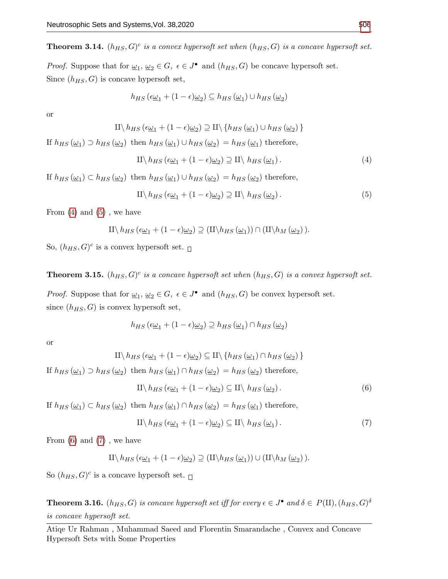**Theorem 3.14.**  $(h_{HS}, G)^c$  is a convex hypersoft set when  $(h_{HS}, G)$  is a concave hypersoft set.

*Proof.* Suppose that for  $\underline{\omega}_1, \underline{\omega}_2 \in G$ ,  $\epsilon \in J^{\bullet}$  and  $(h_{HS}, G)$  be concave hypersoft set. Since  $(h_{HS}, G)$  is concave hypersoft set,

$$
h_{HS}(\epsilon \underline{\omega}_1 + (1 - \epsilon) \underline{\omega}_2) \subseteq h_{HS}(\underline{\omega}_1) \cup h_{HS}(\underline{\omega}_2)
$$

or

$$
\amalg \langle h_{HS}(\epsilon \underline{\omega}_1 + (1 - \epsilon) \underline{\omega}_2) \supseteq \amalg \langle h_{HS}(\underline{\omega}_1) \cup h_{HS}(\underline{\omega}_2) \rangle
$$

If  $h_{HS}(\underline{\omega_1}) \supset h_{HS}(\underline{\omega_2})$  then  $h_{HS}(\underline{\omega_1}) \cup h_{HS}(\underline{\omega_2}) = h_{HS}(\underline{\omega_1})$  therefore,

<span id="page-9-0"></span>
$$
\Pi \backslash h_{HS} \left( \epsilon \underline{\omega}_1 + (1 - \epsilon) \underline{\omega}_2 \right) \supseteq \Pi \backslash h_{HS} \left( \underline{\omega}_1 \right). \tag{4}
$$

If  $h_{HS}(\underline{\omega_1}) \subset h_{HS}(\underline{\omega_2})$  then  $h_{HS}(\underline{\omega_1}) \cup h_{HS}(\underline{\omega_2}) = h_{HS}(\underline{\omega_2})$  therefore,

<span id="page-9-1"></span>
$$
\Pi \backslash h_{HS} \left( \epsilon \underline{\omega}_1 + (1 - \epsilon) \underline{\omega}_2 \right) \supseteq \Pi \backslash h_{HS} \left( \underline{\omega}_2 \right). \tag{5}
$$

From  $(4)$  and  $(5)$ , we have

$$
\mathcal{H}\backslash h_{HS}\left(\epsilon\underline{\omega}_1 + (1-\epsilon)\underline{\omega}_2\right) \supseteq (\mathcal{H}\backslash h_{HS}\left(\underline{\omega}_1\right)) \cap (\mathcal{H}\backslash h_{M}\left(\underline{\omega}_2\right)).
$$

So,  $(h_{HS}, G)^c$  is a convex hypersoft set.

**Theorem 3.15.**  $(h_{HS}, G)^c$  is a concave hypersoft set when  $(h_{HS}, G)$  is a convex hypersoft set.

*Proof.* Suppose that for  $\underline{\omega}_1, \underline{\omega}_2 \in G$ ,  $\epsilon \in J^{\bullet}$  and  $(h_{HS}, G)$  be convex hypersoft set. since  $(h_{HS}, G)$  is convex hypersoft set,

$$
h_{HS}(\epsilon \underline{\omega}_1 + (1 - \epsilon) \underline{\omega}_2) \supseteq h_{HS}(\underline{\omega}_1) \cap h_{HS}(\underline{\omega}_2)
$$

or

$$
\amalg \langle h_{HS} \left( \epsilon \underline{\omega}_1 + (1 - \epsilon) \underline{\omega}_2 \right) \subseteq \amalg \langle \{ h_{HS} \left( \underline{\omega}_1 \right) \cap h_{HS} \left( \underline{\omega}_2 \right) \} \rangle
$$

If  $h_{HS}(\underline{\omega_1}) \supset h_{HS}(\underline{\omega_2})$  then  $h_{HS}(\underline{\omega_1}) \cap h_{HS}(\underline{\omega_2}) = h_{HS}(\underline{\omega_2})$  therefore,

<span id="page-9-2"></span>
$$
\text{II}\langle h_{HS}\left(\epsilon \underline{\omega}_1 + (1 - \epsilon)\underline{\omega}_2\right) \subseteq \text{II}\langle h_{HS}\left(\underline{\omega}_2\right). \tag{6}
$$

If  $h_{HS}(\underline{\omega_1}) \subset h_{HS}(\underline{\omega_2})$  then  $h_{HS}(\underline{\omega_1}) \cap h_{HS}(\underline{\omega_2}) = h_{HS}(\underline{\omega_1})$  therefore,

<span id="page-9-3"></span>
$$
\Pi \backslash h_{HS} \left( \epsilon \underline{\omega}_1 + (1 - \epsilon) \underline{\omega}_2 \right) \subseteq \Pi \backslash h_{HS} \left( \underline{\omega}_1 \right). \tag{7}
$$

From  $(6)$  and  $(7)$ , we have

$$
\Pi \backslash h_{HS} \left( \epsilon \underline{\omega}_1 + (1 - \epsilon) \underline{\omega}_2 \right) \supseteq (\Pi \backslash h_{HS} \left( \underline{\omega}_1 \right)) \cup (\Pi \backslash h_M \left( \underline{\omega}_2 \right)).
$$

So  $(h_{HS}, G)^c$  is a concave hypersoft set.

**Theorem 3.16.**  $(h_{HS}, G)$  is concave hypersoft set iff for every  $\epsilon \in J^{\bullet}$  and  $\delta \in P(\Pi), (h_{HS}, G)^{\delta}$ is concave hypersoft set.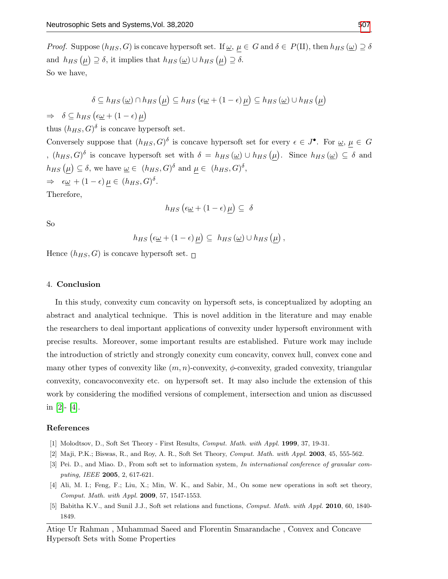*Proof.* Suppose  $(h_{HS}, G)$  is concave hypersoft set. If  $\underline{\omega}$ ,  $\mu \in G$  and  $\delta \in P(\Pi)$ , then  $h_{HS}(\underline{\omega}) \supseteq \delta$ and  $h_{HS}(\mu) \supseteq \delta$ , it implies that  $h_{HS}(\underline{\omega}) \cup h_{HS}(\mu) \supseteq \delta$ . So we have,

$$
\delta \subseteq h_{HS}(\underline{\omega}) \cap h_{HS}(\underline{\mu}) \subseteq h_{HS}(\epsilon \underline{\omega} + (1 - \epsilon) \underline{\mu}) \subseteq h_{HS}(\underline{\omega}) \cup h_{HS}(\underline{\mu})
$$

 $\Rightarrow \delta \subseteq h_{HS} (\epsilon \underline{\omega} + (1 - \epsilon) \mu)$ 

thus  $(h_{HS}, G)$ <sup> $\delta$ </sup> is concave hypersoft set.

Conversely suppose that  $(h_{HS}, G)$ <sup> $\delta$ </sup> is concave hypersoft set for every  $\epsilon \in J^{\bullet}$ . For  $\underline{\omega}, \mu \in G$ ,  $(h_{HS}, G)$ <sup>δ</sup> is concave hypersoft set with  $\delta = h_{HS}(\underline{\omega}) \cup h_{HS}(\mu)$ . Since  $h_{HS}(\underline{\omega}) \subseteq \delta$  and  $h_{HS}(\mu) \subseteq \delta$ , we have  $\underline{\omega} \in (h_{HS}, G)^{\delta}$  and  $\mu \in (h_{HS}, G)^{\delta}$ ,  $\Rightarrow \epsilon_{\underline{\omega}} + (1 - \epsilon) \mu \in (h_{HS}, G)^{\delta}.$ 

Therefore,

$$
h_{HS}\left(\epsilon\underline{\omega} + (1-\epsilon)\underline{\mu}\right) \subseteq \delta
$$

So

$$
h_{HS} \left( \epsilon \underline{\omega} + (1 - \epsilon) \underline{\mu} \right) \subseteq h_{HS} \left( \underline{\omega} \right) \cup h_{HS} \left( \underline{\mu} \right),
$$

Hence  $(h_{HS}, G)$  is concave hypersoft set.  $\Box$ 

#### 4. Conclusion

In this study, convexity cum concavity on hypersoft sets, is conceptualized by adopting an abstract and analytical technique. This is novel addition in the literature and may enable the researchers to deal important applications of convexity under hypersoft environment with precise results. Moreover, some important results are established. Future work may include the introduction of strictly and strongly conexity cum concavity, convex hull, convex cone and many other types of convexity like  $(m, n)$ -convexity,  $\phi$ -convexity, graded convexity, triangular convexity, concavoconvexity etc. on hypersoft set. It may also include the extension of this work by considering the modified versions of complement, intersection and union as discussed in  $[2] - [4]$  $[2] - [4]$  $[2] - [4]$ .

#### References

- <span id="page-10-0"></span>[1] Molodtsov, D., Soft Set Theory - First Results, Comput. Math. with Appl. 1999, 37, 19-31.
- <span id="page-10-1"></span>[2] Maji, P.K.; Biswas, R., and Roy, A. R., Soft Set Theory, Comput. Math. with Appl. 2003, 45, 555-562.
- <span id="page-10-2"></span>[3] Pei. D., and Miao. D., From soft set to information system, In international conference of granular computing, IEEE 2005, 2, 617-621.
- <span id="page-10-3"></span>[4] Ali, M. I.; Feng, F.; Liu, X.; Min, W. K., and Sabir, M., On some new operations in soft set theory, Comput. Math. with Appl. 2009, 57, 1547-1553.
- <span id="page-10-4"></span>[5] Babitha K.V., and Sunil J.J., Soft set relations and functions, Comput. Math. with Appl. 2010, 60, 1840-1849.